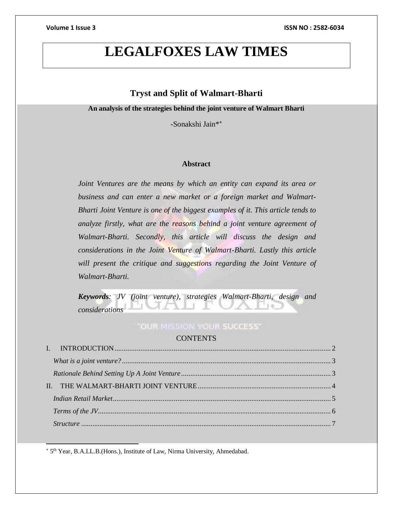# **LEGALFOXES LAW TIMES**

# **Tryst and Split of Walmart-Bharti**

**An analysis of the strategies behind the joint venture of Walmart Bharti**

-Sonakshi Jain\*

### **Abstract**

*Joint Ventures are the means by which an entity can expand its area or business and can enter a new market or a foreign market and Walmart-Bharti Joint Venture is one of the biggest examples of it. This article tends to analyze firstly, what are the reasons behind a joint venture agreement of Walmart-Bharti. Secondly, this article will discuss the design and considerations in the Joint Venture of Walmart-Bharti. Lastly this article*  will present the critique and suggestions regarding the Joint Venture of *Walmart-Bharti.*

*Keywords: JV (joint venture), strategies Walmart-Bharti, design and considerations* 

# **"OUR MISSION YOUR SUCCESS"**

### **CONTENTS**

5 th Year, B.A.LL.B.(Hons.), Institute of Law, Nirma University, Ahmedabad.

 $\overline{a}$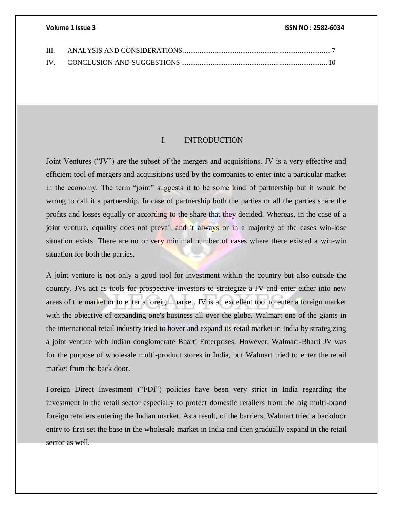| - III. |  |
|--------|--|
|        |  |

### I. INTRODUCTION

<span id="page-1-0"></span>Joint Ventures ("JV") are the subset of the mergers and acquisitions. JV is a very effective and efficient tool of mergers and acquisitions used by the companies to enter into a particular market in the economy. The term "joint" suggests it to be some kind of partnership but it would be wrong to call it a partnership. In case of partnership both the parties or all the parties share the profits and losses equally or according to the share that they decided. Whereas, in the case of a joint venture, equality does not prevail and it always or in a majority of the cases win-lose situation exists. There are no or very minimal number of cases where there existed a win-win situation for both the parties.

A joint venture is not only a good tool for investment within the country but also outside the country. JVs act as tools for prospective investors to strategize a JV and enter either into new areas of the market or to enter a foreign market. JV is an excellent tool to enter a foreign market with the objective of expanding one's business all over the globe. Walmart one of the giants in the international retail industry tried to hover and expand its retail market in India by strategizing a joint venture with Indian conglomerate Bharti Enterprises. However, Walmart-Bharti JV was for the purpose of wholesale multi-product stores in India, but Walmart tried to enter the retail market from the back door.

Foreign Direct Investment ("FDI") policies have been very strict in India regarding the investment in the retail sector especially to protect domestic retailers from the big multi-brand foreign retailers entering the Indian market. As a result, of the barriers, Walmart tried a backdoor entry to first set the base in the wholesale market in India and then gradually expand in the retail sector as well.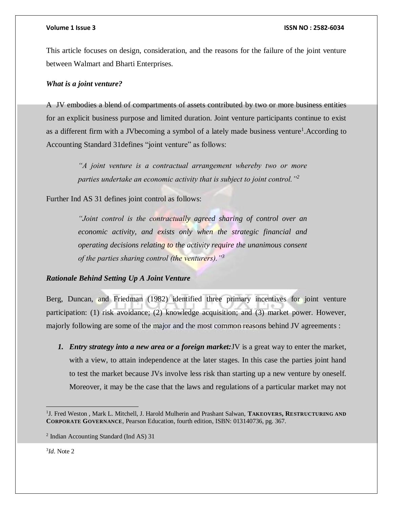This article focuses on design, consideration, and the reasons for the failure of the joint venture between Walmart and Bharti Enterprises.

## <span id="page-2-0"></span>*What is a joint venture?*

A JV embodies a blend of compartments of assets contributed by two or more business entities for an explicit business purpose and limited duration. Joint venture participants continue to exist as a different firm with a JV becoming a symbol of a lately made business venture<sup>1</sup>. According to Accounting Standard 31defines "joint venture" as follows:

> *"A joint venture is a contractual arrangement whereby two or more parties undertake an economic activity that is subject to joint control."<sup>2</sup>*

Further Ind AS 31 defines joint control as follows:

*"Joint control is the contractually agreed sharing of control over an economic activity, and exists only when the strategic financial and operating decisions relating to the activity require the unanimous consent of the parties sharing control (the venturers)."<sup>3</sup>*

# <span id="page-2-1"></span>*Rationale Behind Setting Up A Joint Venture*

Berg, Duncan, and Friedman (1982) identified three primary incentives for joint venture participation: (1) risk avoidance; (2) knowledge acquisition; and (3) market power. However, majorly following are some of the major and the most common reasons behind JV agreements :

*1. Entry strategy into a new area or a foreign market:*JV is a great way to enter the market, with a view, to attain independence at the later stages. In this case the parties joint hand to test the market because JVs involve less risk than starting up a new venture by oneself. Moreover, it may be the case that the laws and regulations of a particular market may not

3 *Id*. Note 2

<sup>1</sup> J. Fred Weston , Mark L. Mitchell, J. Harold Mulherin and Prashant Salwan, **TAKEOVERS, RESTRUCTURING AND CORPORATE GOVERNANCE**, Pearson Education, fourth edition, ISBN: 013140736, pg. 367.

<sup>2</sup> Indian Accounting Standard (Ind AS) 31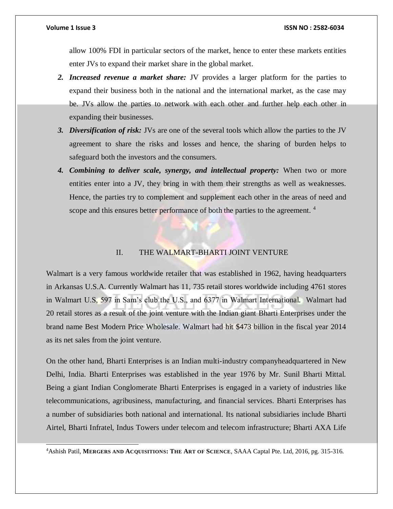$\overline{a}$ 

### **Volume 1 Issue 3 ISSN NO : 2582-6034**

allow 100% FDI in particular sectors of the market, hence to enter these markets entities enter JVs to expand their market share in the global market.

- *2. Increased revenue a market share:* JV provides a larger platform for the parties to expand their business both in the national and the international market, as the case may be. JVs allow the parties to network with each other and further help each other in expanding their businesses.
- *3. Diversification of risk:* JVs are one of the several tools which allow the parties to the JV agreement to share the risks and losses and hence, the sharing of burden helps to safeguard both the investors and the consumers.
- *4. Combining to deliver scale, synergy, and intellectual property:* When two or more entities enter into a JV, they bring in with them their strengths as well as weaknesses. Hence, the parties try to complement and supplement each other in the areas of need and scope and this ensures better performance of both the parties to the agreement.<sup>4</sup>

# II. THE WALMART-BHARTI JOINT VENTURE

<span id="page-3-0"></span>Walmart is a very famous worldwide retailer that was established in 1962, having headquarters in Arkansas U.S.A. Currently Walmart has 11, 735 retail stores worldwide including 4761 stores in Walmart U.S, 597 in Sam's club the U.S., and 6377 in Walmart International. Walmart had 20 retail stores as a result of the joint venture with the Indian giant Bharti Enterprises under the brand name Best Modern Price Wholesale. Walmart had hit \$473 billion in the fiscal year 2014 as its net sales from the joint venture.

On the other hand, Bharti Enterprises is an Indian multi-industry companyheadquartered in New Delhi, India. Bharti Enterprises was established in the year 1976 by Mr. Sunil Bharti Mittal. Being a giant Indian Conglomerate Bharti Enterprises is engaged in a variety of industries like telecommunications, agribusiness, manufacturing, and financial services. Bharti Enterprises has a number of subsidiaries both national and international. Its national subsidiaries include Bharti Airtel, Bharti Infratel, Indus Towers under telecom and telecom infrastructure; Bharti AXA Life

<sup>4</sup>Ashish Patil, **MERGERS AND ACQUISITIONS: THE ART OF SCIENCE**, SAAA Captal Pte. Ltd, 2016, pg. 315-316.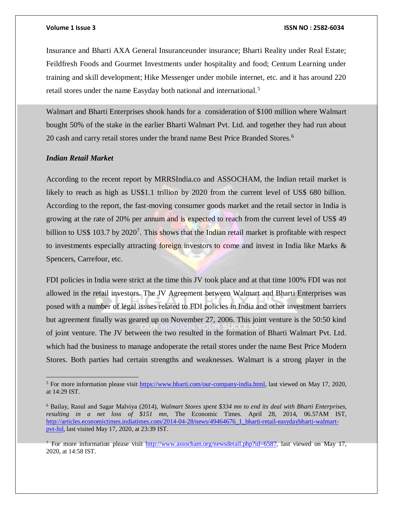Insurance and Bharti AXA General Insuranceunder insurance; Bharti Reality under Real Estate; Feildfresh Foods and Gourmet Investments under hospitality and food; Centum Learning under training and skill development; Hike Messenger under mobile internet, etc. and it has around 220 retail stores under the name Easyday both national and international.<sup>5</sup>

Walmart and Bharti Enterprises shook hands for a consideration of \$100 million where Walmart bought 50% of the stake in the earlier Bharti Walmart Pvt. Ltd. and together they had run about 20 cash and carry retail stores under the brand name Best Price Branded Stores.<sup>6</sup>

# <span id="page-4-0"></span>*Indian Retail Market*

According to the recent report by MRRSIndia.co and ASSOCHAM, the Indian retail market is likely to reach as high as US\$1.1 trillion by 2020 from the current level of US\$ 680 billion. According to the report, the fast-moving consumer goods market and the retail sector in India is growing at the rate of 20% per annum and is expected to reach from the current level of US\$ 49 billion to US\$ 103.7 by 2020<sup>7</sup>. This shows that the Indian retail market is profitable with respect to investments especially attracting foreign investors to come and invest in India like Marks  $\&$ Spencers, Carrefour, etc.

FDI policies in India were strict at the time this JV took place and at that time 100% FDI was not allowed in the retail investors. The JV Agreement between Walmart and Bharti Enterprises was posed with a number of legal issues related to FDI policies in India and other investment barriers but agreement finally was geared up on November 27, 2006. This joint venture is the 50:50 kind of joint venture. The JV between the two resulted in the formation of Bharti Walmart Pvt. Ltd. which had the business to manage andoperate the retail stores under the name Best Price Modern Stores. Both parties had certain strengths and weaknesses. Walmart is a strong player in the

<sup>&</sup>lt;sup>5</sup> For more information please visit [https://www.bharti.com/our-company-india.html,](https://www.bharti.com/our-company-india.html) last viewed on May 17, 2020, at 14:29 IST.

<sup>6</sup> Bailay, Rasul and Sagar Malviya (2014), *Walmart Stores spent \$334 mn to end its deal with Bharti Enterprises, resulting in a net loss of \$151 mn,* The Economic Times. April 28, 2014, 06.57AM IST, [http://articles.economictimes.indiatimes.com/2014-04-28/news/49464676\\_1\\_bharti-retail-easydaybharti-walmart](http://articles.economictimes.indiatimes.com/2014-04-28/news/49464676_1_bharti-retail-easydaybharti-walmart-pvt-ltd)[pvt-ltd,](http://articles.economictimes.indiatimes.com/2014-04-28/news/49464676_1_bharti-retail-easydaybharti-walmart-pvt-ltd) last visited May 17, 2020, at 23:39 IST.

<sup>&</sup>lt;sup>7</sup> For more information please visit [http://www.assocham.org/newsdetail.php?id=6587,](http://www.assocham.org/newsdetail.php?id=6587) last viewed on May 17, 2020, at 14:58 IST.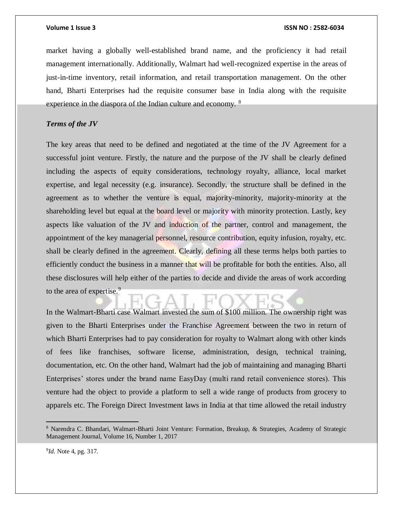market having a globally well-established brand name, and the proficiency it had retail management internationally. Additionally, Walmart had well-recognized expertise in the areas of just-in-time inventory, retail information, and retail transportation management. On the other hand, Bharti Enterprises had the requisite consumer base in India along with the requisite experience in the diaspora of the Indian culture and economy. <sup>8</sup>

# <span id="page-5-0"></span>*Terms of the JV*

The key areas that need to be defined and negotiated at the time of the JV Agreement for a successful joint venture. Firstly, the nature and the purpose of the JV shall be clearly defined including the aspects of equity considerations, technology royalty, alliance, local market expertise, and legal necessity (e.g. insurance). Secondly, the structure shall be defined in the agreement as to whether the venture is equal, majority-minority, majority-minority at the shareholding level but equal at the board level or majority with minority protection. Lastly, key aspects like valuation of the JV and induction of the partner, control and management, the appointment of the key managerial personnel, resource contribution, equity infusion, royalty, etc. shall be clearly defined in the agreement. Clearly, defining all these terms helps both parties to efficiently conduct the business in a manner that will be profitable for both the entities. Also, all these disclosures will help either of the parties to decide and divide the areas of work according to the area of expertise.<sup>9</sup>

In the Walmart-Bharti case Walmart invested the sum of \$100 million. The ownership right was given to the Bharti Enterprises under the Franchise Agreement between the two in return of which Bharti Enterprises had to pay consideration for royalty to Walmart along with other kinds of fees like franchises, software license, administration, design, technical training, documentation, etc. On the other hand, Walmart had the job of maintaining and managing Bharti Enterprises' stores under the brand name EasyDay (multi rand retail convenience stores). This venture had the object to provide a platform to sell a wide range of products from grocery to apparels etc. The Foreign Direct Investment laws in India at that time allowed the retail industry

<sup>8</sup> Narendra C. Bhandari, Walmart-Bharti Joint Venture: Formation, Breakup, & Strategies, Academy of Strategic Management Journal, Volume 16, Number 1, 2017

<sup>&</sup>lt;sup>9</sup>*Id.* Note 4, pg. 317.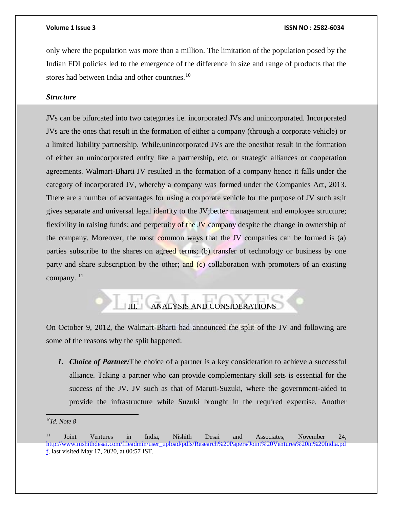only where the population was more than a million. The limitation of the population posed by the Indian FDI policies led to the emergence of the difference in size and range of products that the stores had between India and other countries.<sup>10</sup>

## <span id="page-6-0"></span>*Structure*

JVs can be bifurcated into two categories i.e. incorporated JVs and unincorporated. Incorporated JVs are the ones that result in the formation of either a company (through a corporate vehicle) or a limited liability partnership. While,unincorporated JVs are the onesthat result in the formation of either an unincorporated entity like a partnership, etc. or strategic alliances or cooperation agreements. Walmart-Bharti JV resulted in the formation of a company hence it falls under the category of incorporated JV, whereby a company was formed under the Companies Act, 2013. There are a number of advantages for using a corporate vehicle for the purpose of JV such as;it gives separate and universal legal identity to the JV;better management and employee structure; flexibility in raising funds; and perpetuity of the JV company despite the change in ownership of the company. Moreover, the most common ways that the JV companies can be formed is (a) parties subscribe to the shares on agreed terms; (b) transfer of technology or business by one party and share subscription by the other; and  $(c)$  collaboration with promoters of an existing company.<sup>11</sup>

# ANALYSIS AND CONSIDERATIONS

<span id="page-6-1"></span>On October 9, 2012, the Walmart-Bharti had announced the split of the JV and following are some of the reasons why the split happened:

*1. Choice of Partner:*The choice of a partner is a key consideration to achieve a successful alliance. Taking a partner who can provide complementary skill sets is essential for the success of the JV. JV such as that of Maruti-Suzuki, where the government-aided to provide the infrastructure while Suzuki brought in the required expertise. Another

 <sup>10</sup>*Id. Note 8*

<sup>&</sup>lt;sup>11</sup> Joint Ventures in India, Nishith Desai and Associates, November 24, [http://www.nishithdesai.com/fileadmin/user\\_upload/pdfs/Research%20Papers/Joint%20Ventures%20in%20India.pd](http://www.nishithdesai.com/fileadmin/user_upload/pdfs/Research%20Papers/Joint%20Ventures%20in%20India.pdf) [f,](http://www.nishithdesai.com/fileadmin/user_upload/pdfs/Research%20Papers/Joint%20Ventures%20in%20India.pdf) last visited May 17, 2020, at 00:57 IST.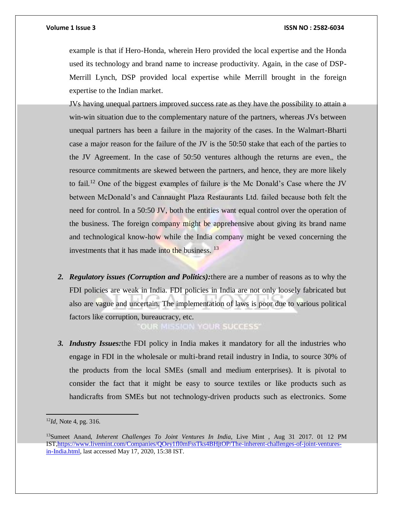example is that if Hero-Honda, wherein Hero provided the local expertise and the Honda used its technology and brand name to increase productivity. Again, in the case of DSP-Merrill Lynch, DSP provided local expertise while Merrill brought in the foreign expertise to the Indian market.

JVs having unequal partners improved success rate as they have the possibility to attain a win-win situation due to the complementary nature of the partners, whereas JVs between unequal partners has been a failure in the majority of the cases. In the Walmart-Bharti case a major reason for the failure of the JV is the 50:50 stake that each of the parties to the JV Agreement. In the case of 50:50 ventures although the returns are even,, the resource commitments are skewed between the partners, and hence, they are more likely to fail.<sup>12</sup> One of the biggest examples of failure is the Mc Donald's Case where the JV between McDonald's and Cannaught Plaza Restaurants Ltd. failed because both felt the need for control. In a 50:50 JV, both the entities want equal control over the operation of the business. The foreign company might be apprehensive about giving its brand name and technological know-how while the India company might be vexed concerning the investments that it has made into the business. <sup>13</sup>

*2. Regulatory issues (Corruption and Politics):*there are a number of reasons as to why the FDI policies are weak in India. FDI policies in India are not only loosely fabricated but also are vague and uncertain. The implementation of laws is poor due to various political factors like corruption, bureaucracy, etc.

OUR MISSION YOUR SUCCESS"

*3. Industry Issues:*the FDI policy in India makes it mandatory for all the industries who engage in FDI in the wholesale or multi-brand retail industry in India, to source 30% of the products from the local SMEs (small and medium enterprises). It is pivotal to consider the fact that it might be easy to source textiles or like products such as handicrafts from SMEs but not technology-driven products such as electronics. Some

<sup>12</sup>*Id,* Note 4, pg. 316.

<sup>13</sup>Sumeet Anand, *Inherent Challenges To Joint Ventures In India,* Live Mint , Aug 31 2017. 01 12 PM IS[T,https://www.livemint.com/Companies/QOey1fl0mFssTks4BHjtOP/The-inherent-challenges-of-joint-ventures](https://www.livemint.com/Companies/QOey1fl0mFssTks4BHjtOP/The-inherent-challenges-of-joint-ventures-in-India.html)[in-India.html,](https://www.livemint.com/Companies/QOey1fl0mFssTks4BHjtOP/The-inherent-challenges-of-joint-ventures-in-India.html) last accessed May 17, 2020, 15:38 IST.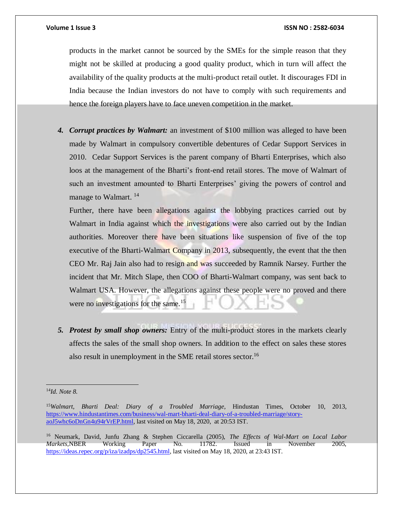products in the market cannot be sourced by the SMEs for the simple reason that they might not be skilled at producing a good quality product, which in turn will affect the availability of the quality products at the multi-product retail outlet. It discourages FDI in India because the Indian investors do not have to comply with such requirements and hence the foreign players have to face uneven competition in the market.

*4. Corrupt practices by Walmart:* an investment of \$100 million was alleged to have been made by Walmart in compulsory convertible debentures of Cedar Support Services in 2010. Cedar Support Services is the parent company of Bharti Enterprises, which also loos at the management of the Bharti's front-end retail stores. The move of Walmart of such an investment amounted to Bharti Enterprises' giving the powers of control and manage to Walmart.<sup>14</sup>

Further, there have been allegations against the lobbying practices carried out by Walmart in India against which the investigations were also carried out by the Indian authorities. Moreover there have been situations like suspension of five of the top executive of the Bharti-Walmart Company in 2013, subsequently, the event that the then CEO Mr. Raj Jain also had to resign and was succeeded by Ramnik Narsey. Further the incident that Mr. Mitch Slape, then COO of Bharti-Walmart company, was sent back to Walmart USA. However, the allegations against these people were no proved and there were no investigations for the same.<sup>15</sup>

*5. Protest by small shop owners:* Entry of the multi-product stores in the markets clearly affects the sales of the small shop owners. In addition to the effect on sales these stores also result in unemployment in the SME retail stores sector.<sup>16</sup>

 $\overline{a}$ <sup>14</sup>*Id. Note 8.* 

<sup>15</sup>*Walmart, Bharti Deal: Diary of a Troubled Marriage,* Hindustan Times, October 10, 2013, [https://www.hindustantimes.com/business/wal-mart-bharti-deal-diary-of-a-troubled-marriage/story](https://www.hindustantimes.com/business/wal-mart-bharti-deal-diary-of-a-troubled-marriage/story-aoJ5whc6oDnGn4u94rVrEP.html)[aoJ5whc6oDnGn4u94rVrEP.html,](https://www.hindustantimes.com/business/wal-mart-bharti-deal-diary-of-a-troubled-marriage/story-aoJ5whc6oDnGn4u94rVrEP.html) last visited on May 18, 2020, at 20:53 IST.

<sup>16</sup> Neumark, David, Junfu Zhang & Stephen Ciccarella (2005), *The Effects of Wal-Mart on Local Labor Markets,*NBER Working Paper No. 11782. Issued in November 2005, [https://ideas.repec.org/p/iza/izadps/dp2545.html,](https://ideas.repec.org/p/iza/izadps/dp2545.html) last visited on May 18, 2020, at 23:43 IST.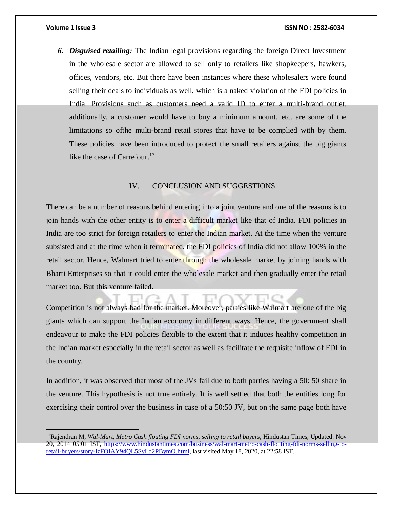*6. Disguised retailing:* The Indian legal provisions regarding the foreign Direct Investment in the wholesale sector are allowed to sell only to retailers like shopkeepers, hawkers, offices, vendors, etc. But there have been instances where these wholesalers were found selling their deals to individuals as well, which is a naked violation of the FDI policies in India. Provisions such as customers need a valid ID to enter a multi-brand outlet, additionally, a customer would have to buy a minimum amount, etc. are some of the limitations so ofthe multi-brand retail stores that have to be complied with by them. These policies have been introduced to protect the small retailers against the big giants like the case of Carrefour.<sup>17</sup>

# IV. CONCLUSION AND SUGGESTIONS

<span id="page-9-0"></span>There can be a number of reasons behind entering into a joint venture and one of the reasons is to join hands with the other entity is to enter a difficult market like that of India. FDI policies in India are too strict for foreign retailers to enter the Indian market. At the time when the venture subsisted and at the time when it terminated, the FDI policies of India did not allow 100% in the retail sector. Hence, Walmart tried to enter through the wholesale market by joining hands with Bharti Enterprises so that it could enter the wholesale market and then gradually enter the retail market too. But this venture failed.

Competition is not always bad for the market. Moreover, parties like Walmart are one of the big giants which can support the Indian economy in different ways. Hence, the government shall endeavour to make the FDI policies flexible to the extent that it induces healthy competition in the Indian market especially in the retail sector as well as facilitate the requisite inflow of FDI in the country.

In addition, it was observed that most of the JVs fail due to both parties having a 50: 50 share in the venture. This hypothesis is not true entirely. It is well settled that both the entities long for exercising their control over the business in case of a 50:50 JV, but on the same page both have

<sup>17</sup>Rajendran M, *Wal-Mart, Metro Cash flouting FDI norms, selling to retail buyers*, Hindustan Times, Updated: Nov 20, 2014 05:01 IST, [https://www.hindustantimes.com/business/wal-mart-metro-cash-flouting-fdi-norms-selling-to](https://www.hindustantimes.com/business/wal-mart-metro-cash-flouting-fdi-norms-selling-to-retail-buyers/story-IzFOIAY94QL5SyLd2PBymO.html)[retail-buyers/story-IzFOIAY94QL5SyLd2PBymO.html,](https://www.hindustantimes.com/business/wal-mart-metro-cash-flouting-fdi-norms-selling-to-retail-buyers/story-IzFOIAY94QL5SyLd2PBymO.html) last visited May 18, 2020, at 22:58 IST.